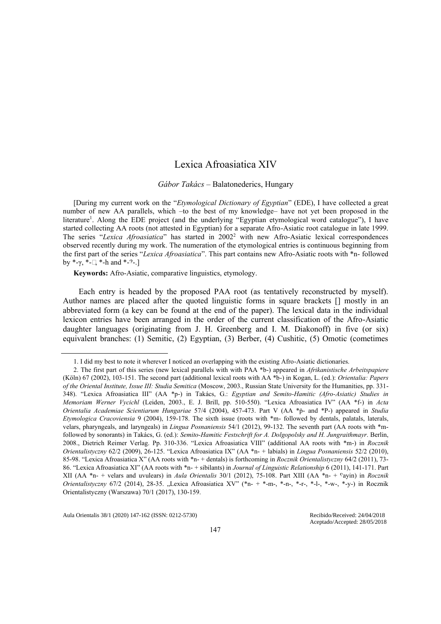# Lexica Afroasiatica XIV

### *Gábor Takács* – Balatonederics, Hungary

[During my current work on the "*Etymological Dictionary of Egyptian*" (EDE), I have collected a great number of new AA parallels, which –to the best of my knowledge– have not yet been proposed in the literature<sup>1</sup>. Along the EDE project (and the underlying "Egyptian etymological word catalogue"), I have started collecting AA roots (not attested in Egyptian) for a separate Afro-Asiatic root catalogue in late 1999. The series "*Lexica Afroasiatica*" has started in 2002<sup>2</sup> with new Afro-Asiatic lexical correspondences observed recently during my work. The numeration of the etymological entries is continuous beginning from the first part of the series "*Lexica Afroasiatica*". This part contains new Afro-Asiatic roots with \*n- followed by  $*-\gamma$ ,  $*-\gamma$ ,  $*-\text{h}$  and  $*-\gamma$ -.]

**Keywords:** Afro-Asiatic, comparative linguistics, etymology.

Each entry is headed by the proposed PAA root (as tentatively reconstructed by myself). Author names are placed after the quoted linguistic forms in square brackets [] mostly in an abbreviated form (a key can be found at the end of the paper). The lexical data in the individual lexicon entries have been arranged in the order of the current classification of the Afro-Asiatic daughter languages (originating from J. H. Greenberg and I. M. Diakonoff) in five (or six) equivalent branches: (1) Semitic, (2) Egyptian, (3) Berber, (4) Cushitic, (5) Omotic (cometimes

Aula Orientalis 38/1 (2020) 147-162 (ISSN: 0212-5730) Recibido/Received: 24/04/2018

<sup>1.</sup> I did my best to note it wherever I noticed an overlapping with the existing Afro-Asiatic dictionaries.

<sup>2.</sup> The first part of this series (new lexical parallels with with PAA \*b-) appeared in *Afrikanistische Arbeitspapiere* (Köln) 67 (2002), 103-151. The second part (additional lexical roots with AA \*b-) in Kogan, L. (ed.): *Orientalia: Papers of the Oriental Institute, Issue III: Studia Semitica* (Moscow, 2003., Russian State University for the Humanities, pp. 331- 348). "Lexica Afroasiatica III" (AA \*p-) in Takács, G.: *Egyptian and Semito-Hamitic (Afro-Asiatic) Studies in Memoriam Werner Vycichl* (Leiden, 2003., E. J. Brill, pp. 510-550). "Lexica Afroasiatica IV" (AA \*f-) in *Acta Orientalia Academiae Scientiarum Hungariae* 57/4 (2004), 457-473. Part V (AA \*³- and \*P-) appeared in *Studia Etymologica Cracoviensia* 9 (2004), 159-178. The sixth issue (roots with \*m- followed by dentals, palatals, laterals, velars, pharyngeals, and laryngeals) in *Lingua Posnaniensis* 54/1 (2012), 99-132. The seventh part (AA roots with \*mfollowed by sonorants) in Takács, G. (ed.): *Semito-Hamitic Festschrift for A. Dolgopolsky and H. Jungraithmayr*. Berlin, 2008., Dietrich Reimer Verlag. Pp. 310-336. "Lexica Afroasiatica VIII" (additional AA roots with \*m-) in *Rocznik Orientalistyczny* 62/2 (2009), 26-125. "Lexica Afroasiatica IX" (AA \*n- + labials) in *Lingua Posnaniensis* 52/2 (2010), 85-98. "Lexica Afroasiatica X" (AA roots with \*n- + dentals) is forthcoming in *Rocznik Orientalistyczny* 64/2 (2011), 73- 86. "Lexica Afroasiatica XI" (AA roots with \*n- + sibilants) in *Journal of Linguistic Relationship* 6 (2011), 141-171. Part XII (AA \*n- + velars and uvulears) in *Aula Orientalis* 30/1 (2012), 75-108. Part XIII (AA \*n- + «ayin) in *Rocznik Orientalistyczny* 67/2 (2014), 28-35. "Lexica Afroasiatica XV" (\*n- + \*-m-, \*-n-, \*-r-, \*-l-, \*-w-, \*-y-) in Rocznik Orientalistyczny (Warszawa) 70/1 (2017), 130-159.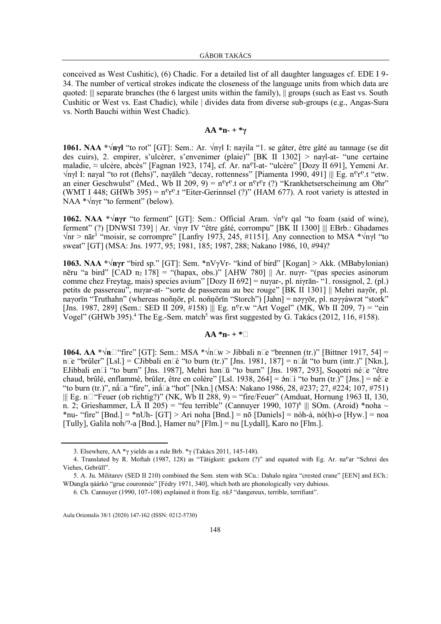conceived as West Cushitic), (6) Chadic. For a detailed list of all daughter languages cf. EDE I 9- 34. The number of vertical strokes indicate the closeness of the language units from which data are quoted: ||| separate branches (the 6 largest units within the family), || groups (such as East vs. South Cushitic or West vs. East Chadic), while | divides data from diverse sub-groups (e.g., Angas-Sura vs. North Bauchi within West Chadic).

# **AA \*n- + \*γ**

**1061. NAA \*√nγl** "to rot" [GT]: Sem.: Ar. √nγl I: naγila "1. se gâter, être gâté au tannage (se dit des cuirs), 2. empirer, s'ulcèrer, s'envenimer (plaie)" [BK II 1302] > naγl-at- "une certaine maladie, ≈ ulcère, abcès" [Fagnan 1923, 174], cf. Ar. na<sup>o</sup>l-at- "ulcère" [Dozy II 691], Yemeni Ar.  $\forall$ nγl I: naγal "to rot (flehs)", naγāleh "decay, rottenness" [Piamenta 1990, 491] ||| Eg. n<sup>o</sup>r<sup>o</sup>.t "etw. an einer Geschwulst" (Med., Wb II 209, 9) = n<sup>c</sup>r<sup>c</sup>.t or n<sup>c</sup>r<sup>c</sup>r (?) "Krankhetserscheinung am Ohr" (WMT I 448; GHWb 395) =  $n^c r^c$ .t "Eiter-Gerinnsel (?)" (HAM 677). A root variety is attested in NAA <sup>\*</sup>√nγr "to ferment" (below).

**1062. NAA \*√nγr** "to ferment" [GT]: Sem.: Official Aram. √n<sup>c</sup>r qal "to foam (said of wine), ferment" (?) [DNWSI 739] | Ar. √nγr IV "être gâté, corrompu" [BK II 1300] ||| EBrb.: Ghadames  $\sqrt{nn}$  > nār<sup>3</sup> "moisir, se corrompre" [Lanfry 1973, 245, #1151]. Any connection to MSA \* $\sqrt{nn}$ ' "to sweat" [GT] (MSA: Jns. 1977, 95; 1981, 185; 1987, 288; Nakano 1986, 10, #94)?

**1063. NAA \*√nγr** "bird sp." [GT]: Sem. \*nVγVr- "kind of bird" [Kogan] > Akk. (MBabylonian) nēru "a bird" [CAD n<sub>2</sub> 178] = "(hapax, obs.)" [AHW 780] || Ar. nuγr- "(pas species asinorum comme chez Freytag, mais) species avium" [Dozy II 692] = nuγar-, pl. niγrān- "1. rossignol, 2. (pl.) petits de passereau", nuγar-at- "sorte de passereau au bec rouge" [BK II 1301] || Mehri naγōr, pl. naγorīn "Truthahn" (whereas noñņōr, pl. noñṇōrīn "Storch") [Jahn] = nəγγōr, pl. nəγγáwrət "stork" [Jns. 1987, 289] (Sem.: SED II 209,  $\#158$ ) ||| Eg. n<sup>o</sup>r.w "Art Vogel" (MK, Wb II 209, 7) = "ein Vogel" (GHWb 395).<sup>4</sup> The Eg.-Sem. match<sup>5</sup> was first suggested by G. Takács (2012, 116, #158).

## $AA *n+ *$

**1064. AA \*√n-** "fire" [GT]: Sem.: MSA \*√n-w > Jibbali n-e "brennen (tr.)" [Bittner 1917, 54] = n-e "brûler" [Lsl.] = CJibbali en-é "to burn (tr.)" [Jns. 1981, 187] = n- at "to burn (intr.)" [Nkn.], EJibbali en-í "to burn" [Jns. 1987], Mehri hən-ū "to burn" [Jns. 1987, 293], Soqotri né-e "être chaud, brûlé, enflammé, brûler, être en colère" [Lsl. 1938, 264] =  $\sin$ -i "to burn (tr.)" [Jns.] = n $\neq$ -e "to burn (tr.)", na-a "fire", ina-a "hot" [Nkn.] (MSA: Nakano 1986, 28, #237; 27, #224; 107, #751)  $|||$  Eg. n- "Feuer (ob richtig?)" (NK, Wb II 288, 9) = "fire/Feuer" (Amduat, Hornung 1963 II, 130, n. 2; Grieshammer, LÄ II 205) = "feu terrible" (Cannuyer 1990, 107)<sup>6</sup> ||| SOm. (Aroid) \*noha ~ \*nu- "fire" [Bnd.] = \*nUh- [GT] > Ari noha [Bnd.] = nō [Daniels] = nóh-à, nó(h)-o [Hyw.] = noa [Tully], Galila noh/?-a [Bnd.], Hamer nu? [Flm.] = nu [Lydall], Karo no [Flm.].

<sup>3.</sup> Elsewhere, AA \*γ yields as a rule Brb. \*γ (Takács 2011, 145-148).

<sup>4.</sup> Translated by R. Moftah (1987, 128) as "Tätigkeit: gackern (?)" and equated with Eg. Ar. na<sup>c</sup>ar "Schrei des Viehes, Gebrüll".

<sup>5.</sup> A. Ju. Militarev (SED II 210) combined the Sem. stem with SCu.: Dahalo ngára "crested crane" [EEN] and ECh.: WDangla ŋáárkò "grue couronnée" [Fédry 1971, 340], which both are phonologically very dubious.

<sup>6.</sup> Ch. Cannuyer (1990, 107-108) explained it from Eg. nh3 "dangereux, terrible, terrifiant".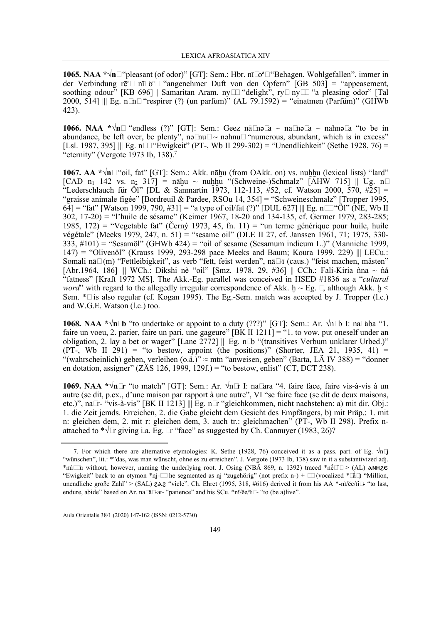**1065. NAA \*√n-** "pleasant (of odor)" [GT]: Sem.: Hbr. nī-o <sup>a</sup>- "Behagen, Wohlgefallen", immer in der Verbindung rē<sup>a</sup>- nī-o<sup>a</sup>- "angenehmer Duft von den Opfern" [GB 503] = "appeasement, soothing odour" [KB 696] | Samaritan Aram. ny-- "delight", ry- ny-- "a pleasing odor" [Tal 2000, 514] ||| Eg. n-n- "respirer (?) (un parfum)" (AL 79.1592) = "einatmen (Parfüm)" (GHWb 423).

**1066. NAA \*√n-** "endless (?)" [GT]: Sem.: Geez nā-nə-a ~ na-nə-a ~ nahnə-a "to be in abundance, be left over, be plenty", nə-nu-  $\sim$  nəhnu- "numerous, abundant, which is in excess" [Lsl. 1987, 395] ||| Eg. n-- "Ewigkeit" (PT-, Wb II 299-302) = "Unendlichkeit" (Sethe 1928, 76) = "eternity" (Vergote 1973 Ib, 138). $<sup>7</sup>$ </sup>

**1067. AA \*** $\sqrt{n}$  **· "oil, fat" [GT]: Sem.: Akk. nāhu (from OAkk. on) vs. nuhhu (lexical lists) "lard"**  $[CAD \n n_1 \n 142 \n vs. \n n_2 \n 317] = nāhu \sim \n nuhhu \n "(Schweine-)Schmalz" \n [AHW 715] || \n Ug. \n n-$ "Lederschlauch für Öl" [DL & Sanmartín 1973, 112-113, #52, cf. Watson 2000, 570, #25] = "graisse animale figée" [Bordreuil & Pardee, RSOu 14, 354] = "Schweineschmalz" [Tropper 1995, 64] = "fat" [Watson 1999, 790, #31] = "a type of oil/fat (?)" [DUL 627] ||| Eg. n-- "Öl" (NE, Wb II 302, 17-20) = "l'huile de sésame" (Keimer 1967, 18-20 and 134-135, cf. Germer 1979, 283-285; 1985, 172) = "Vegetable fat" (Černý 1973, 45, fn. 11) = "un terme générique pour huile, huile végétale" (Meeks 1979, 247, n. 51) = "sesame oil" (DLE II 27, cf. Janssen 1961, 71; 1975, 330-  $333, \text{\#}101$  = "Sesamöl" (GHWb  $424$ ) = "oil of sesame (Sesamum indicum L.)" (Manniche 1999, 147) = "Olivenöl" (Krauss 1999, 293-298 pace Meeks and Baum; Koura 1999, 229) ||| LECu.: Somali nā- (m) "Fettleibigkeit", as verb "fett, feist werden", nā--ī (caus.) "feist machen, mästen" [Abr.1964, 186] ||| WCh.: Dikshi nè "oil" [Smz. 1978, 29, #36] || CCh.: Fali-Kiria ǹna ~ ǹá "fatness" [Kraft 1972 MS]. The Akk.-Eg. parallel was conceived in HSED #1836 as a "*cultural word*" with regard to the allegedly irregular correspondence of Akk.  $h \sim Eg.$  -, although Akk.  $h \leq$ Sem. \*- is also regular (cf. Kogan 1995). The Eg.-Sem. match was accepted by J. Tropper (l.c.) and W.G.E. Watson (l.c.) too.

**1068. NAA**  $*\sqrt{n}$ **- <b>b** "to undertake or appoint to a duty (???)" [GT]: Sem.: Ar.  $\sqrt{n}$ - b I: na-aba "1. faire un voeu, 2. parier, faire un pari, une gageure"  $[\overrightarrow{BK} \overrightarrow{II} \overrightarrow{1211}] =$ "1. to vow, put oneself under an obligation, 2. lay a bet or wager" [Lane 2772] ||| Eg. n-b "(transitives Verbum unklarer Urbed.)" (PT-, Wb II 291) = "to bestow, appoint (the positions)" (Shorter, JEA 21, 1935, 41) = "(wahrscheinlich) geben, verleihen (o.ä.)"  $\approx$  mtn "anweisen, geben" (Barta, LÄ IV 388) = "donner" en dotation, assigner" (ZÄS 126, 1999, 129f.) = "to bestow, enlist" (CT, DCT 238).

**1069. NAA \*√n-r** "to match" [GT]: Sem.: Ar. √n-r I: na-ara "4. faire face, faire vis-à-vis à un autre (se dit, p.ex., d'une maison par rapport à une autre", VI "se faire face (se dit de deux maisons, etc.)", na-r- "vis-à-vis" [BK II 1213] ||| Eg. n-r "gleichkommen, nicht nachstehen: a) mit dir. Obj.: 1. die Zeit jemds. Erreichen, 2. die Gabe gleicht dem Gesicht des Empfängers, b) mit Präp.: 1. mit n: gleichen dem, 2. mit r: gleichen dem, 3. auch tr.: gleichmachen" (PT-, Wb II 298). Prefix nattached to  $\sqrt{x}$ -r giving i.a. Eg. -r "face" as suggested by Ch. Cannuyer (1983, 26)?

<sup>7.</sup> For which there are alternative etymologies: K. Sethe (1928, 76) conceived it as a pass. part. of Eg.  $\sqrt{n}$ -j "wünschen", lit.: \*"das, was man wünscht, ohne es zu erreichen". J. Vergote (1973 Ib, 138) saw in it a substantivized adj. \*nú--u without, however, naming the underlying root. J. Osing (NBA 869, n. 1392) traced \*ne- ~ > (AL)  $\lambda$ NH2 $\epsilon$ "Ewigkeit" back to an etymon \*nj--- he segmented as nj "zugehörig" (not prefix n-) + -- (vocalized \*- $\acute{a}$ -) "Million, unendliche große Zahl" > (SAL)  $2\lambda 2$  "viele". Ch. Ehret (1995, 318, #616) derived it from his AA \*-nĭ/ĕe/ĭi-- "to last, endure, abide" based on Ar. na-ā--at- "patience" and his SCu. \*nĭ/ĕe/ĭi-- "to (be a)live".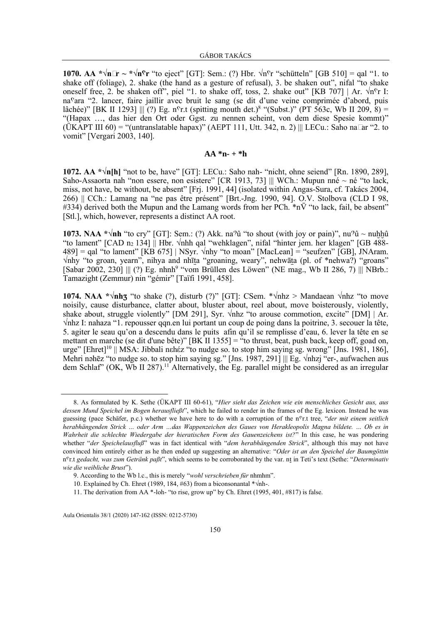**1070.** AA  $*\sqrt{n}$ **-r** ~  $*\sqrt{n}$ °**r** "to eject" [GT]: Sem.: (?) Hbr.  $\sqrt{n}$ °**r** "schütteln" [GB 510] = qal "1. to shake off (foliage), 2. shake (the hand as a gesture of refusal), 3. be shaken out", nifal "to shake oneself free, 2. be shaken off", piel "1. to shake off, toss, 2. shake out" [KB 707] | Ar.  $\sqrt{n}$ °r I: na<sup>c</sup>ara "2. lancer, faire jaillir avec bruit le sang (se dit d'une veine comprimée d'abord, puis lâchée)" [BK II 1293]  $\parallel \!\parallel$  (?) Eg. n°r.t (spitting mouth det.)<sup>8</sup> "(Subst.)" (PT 563c, Wb II 209, 8) = "(Hapax …, das hier den Ort oder Ggst. zu nennen scheint, von dem diese Spesie kommt)" (ÜKAPT III 60) = "(untranslatable hapax)" (AEPT 111, Utt. 342, n. 2) || LECu.: Saho na-ar "2. to vomit" [Vergari 2003, 140].

## **AA \*n- + \*h**

**1072. AA \*√n[h]** "not to be, have" [GT]: LECu.: Saho nah- "nicht, ohne seiend" [Rn. 1890, 289], Saho-Assaorta nah "non essere, non esistere" [CR 1913, 73] ||| WCh.: Mupun nné ~ né "to lack, miss, not have, be without, be absent" [Frj. 1991, 44] (isolated within Angas-Sura, cf. Takács 2004, 266) || CCh.: Lamang na "ne pas être présent" [Brt.-Jng. 1990, 94]. O.V. Stolbova (CLD I 98,  $\#334$ ) derived both the Mupun and the Lamang words from her PCh.  $*n\bar{V}$  "to lack, fail, be absent" [Stl.], which, however, represents a distinct AA root.

**1073. NAA \*√nh** "to cry" [GT]: Sem.: (?) Akk. na<sup>9</sup>û "to shout (with joy or pain)", nu<sup>9</sup>û ~ nuhhû "to lament"  $[CAD \, n_2 \, 134]$  || Hbr.  $\forall$ nhh qal "wehklagen", nifal "hinter jem. her klagen"  $[GB \, 488 489$ ] = qal "to lament" [KB 675] | NSyr.  $\sqrt{nh}$ y "to moan" [MacLean] = "seufzen" [GB], JNAram. √nhy "to groan, yearn", nihya and nhīta "groaning, weary", nehwāta (pl. of \*nehwa?) "groans" [Sabar 2002, 230]  $\|$  (?) Eg. nhnh<sup>9</sup> "vom Brüllen des Löwen" (NE mag., Wb II 286, 7)  $\|$  NBrb.: Tamazight (Zemmur) nin "gémir" [Taïfi 1991, 458].

**1074. NAA \*** $\sqrt{nh}$ **<sub>3</sub>** "to shake (?), disturb (?)" [GT]: CSem. \* $\sqrt{nh}$ z > Mandaean  $\sqrt{nh}$ z "to move noisily, cause disturbance, clatter about, bluster about, reel about, move boisterously, violently, shake about, struggle violently" [DM 291], Syr.  $\sqrt{\frac{m}{2}}$  to arouse commotion, excite" [DM] | Ar. √nhz I: nahaza "1. repousser qqn.en lui portant un coup de poing dans la poitrine, 3. secouer la tête, 5. agiter le seau qu'on a descendu dans le puits afin qu'il se remplisse d'eau, 6. lever la tête en se mettant en marche (se dit d'une bête)" [BK II 1355] = "to thrust, beat, push back, keep off, goad on, urge" [Ehret]<sup>10</sup> || MSA: Jibbali n $\epsilon$ héz "to nudge so. to stop him saying sg. wrong" [Jns. 1981, 186], Mehri nəhēz "to nudge so. to stop him saying sg." [Jns. 1987, 291] ||| Eg. √nhzj "er-, aufwachen aus dem Schlaf" (OK, Wb II 287).<sup>11</sup> Alternatively, the Eg. parallel might be considered as an irregular

<sup>8.</sup> As formulated by K. Sethe (ÜKAPT III 60-61), "*Hier sieht das Zeichen wie ein menschliches Gesicht aus, aus dessen Mund Speichel im Bogen herausfließt*", which he failed to render in the frames of the Eg. lexicon. Instead he was guessing (pace Schäfer, p.c.) whether we have here to do with a corruption of the n<sup>c</sup>r.t tree, "*der mit einem seitlich herabhängenden Strick … oder Arm …das Wappenzeichen des Gaues von Herakleopolis Magna bildete. … Ob es in Wahrheit die schlechte Wiedergabe der hieratischen Form des Gauenzeichens ist?*" In this case, he was pondering whether "*der Speichelausfluß*" was in fact identical with "*dem herabhängenden Strick*", although this may not have convinced him entirely either as he then ended up suggesting an alternative: "*Oder ist an den Speichel der Baumgöttin* n<sup>c</sup>r.t gedacht, was zum Getränk paßt", which seems to be corroborated by the var. nt in Teti's text (Sethe: "Determinativ *wie die weibliche Brust*").

<sup>9.</sup> According to the Wb l.c., this is merely "*wohl verschrieben für* nhmhm".

<sup>10.</sup> Explained by Ch. Ehret (1989, 184, #63) from a biconsonantal \*√nh-.

<sup>11.</sup> The derivation from AA \*-loh- "to rise, grow up" by Ch. Ehret (1995, 401, #817) is false.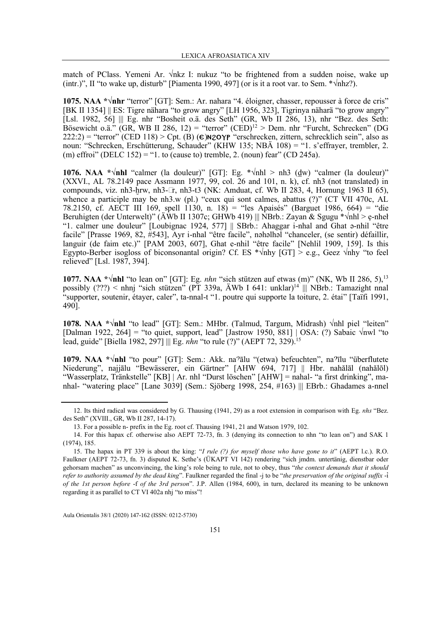match of PClass. Yemeni Ar. √nkz I: nukuz "to be frightened from a sudden noise, wake up (intr.)", II "to wake up, disturb" [Piamenta 1990, 497] (or is it a root var. to Sem.  $*\nabla$ nhz?).

**1075. NAA \*√nhr** "terror" [GT]: Sem.: Ar. nahara "4. éloigner, chasser, repousser à force de cris" [BK II 1354] || ES: Tigre nähara "to grow angry" [LH 1956, 323], Tigrinya näharä "to grow angry" [Lsl. 1982, 56] ||| Eg. nhr "Bosheit o.ä. des Seth" (GR, Wb II 286, 13), nhr "Bez. des Seth: Bösewicht o.ä." (GR, WB II 286, 12) = "terror" (CED)<sup>12</sup> > Dem. nhr "Furcht, Schrecken" (DG  $222:2$ ) = "terror" (CED 118) > Cpt. (B) ( $\epsilon$ )N2OYP "erschrecken, zittern, schrecklich sein", also as noun: "Schrecken, Erschütterung, Schauder" (KHW 135; NBÄ 108) = "1. s'effrayer, trembler, 2. (m) effroi" (DELC 152) = "1. to (cause to) tremble, 2. (noun) fear" (CD 245a).

**1076. NAA** \* $\sqrt{\text{nhl}}$  "calmer (la douleur)" [GT]: Eg. \* $\sqrt{\text{nhl}}$  > nh3 (dw) "calmer (la douleur)" (XXVI., AL 78.2149 pace Assmann 1977, 99, col. 26 and 101, n. k), cf. nh3 (not translated) in compounds, viz. nh3-hrw, nh3- $-$ r, nh3-t3 (NK: Amduat, cf. Wb II 283, 4, Hornung 1963 II 65), whence a participle may be nh3.w (pl.) "ceux qui sont calmes, abattus (?)" (CT VII 470c, AL 78.2150, cf. AECT III 169, spell 1130, n. 18) = "les Apaisés" (Barguet 1986, 664) = "die Beruhigten (der Unterwelt)" (ÄWb II 1307c; GHWb 419) ||| NBrb.: Zayan & Sgugu \* $\sqrt{nhl} > e$ -nheł "1. calmer une douleur" [Loubignac 1924, 577] || SBrb.: Ahaggar i-nhal and Ghat ə-nhil "être facile" [Prasse 1969, 82, #543], Ayr i-nhal "être facile", nəhəlhəl "chanceler, (se sentir) défaillir, languir (de faim etc.)" [PAM 2003, 607], Ghat e-nhil "être facile" [Nehlil 1909, 159]. Is this Egypto-Berber isogloss of biconsonantal origin? Cf. ES \* $\sqrt{nh}$  [GT] > e.g., Geez  $\sqrt{nh}$  "to feel relieved" [Lsl. 1987, 394].

**1077.** NAA \* $\sqrt{\text{nhl}}$  "to lean on" [GT]: Eg. *nhn* "sich stützen auf etwas (m)" (NK, Wb II 286, 5),<sup>13</sup> possibly (???) < nhnj "sich stützen" (PT 339a, ÄWb I 641: unklar)<sup>14</sup> ||| NBrb.: Tamazight nnal "supporter, soutenir, étayer, caler", ta-nnal-t "1. poutre qui supporte la toiture, 2. étai" [Taïfi 1991, 490].

**1078. NAA \*√nhl** "to lead" [GT]: Sem.: MHbr. (Talmud, Targum, Midrash) √nhl piel "leiten" [Dalman 1922, 264] = "to quiet, support, lead" [Jastrow 1950, 881] | OSA: (?) Sabaic √nwl "to lead, guide" [Biella 1982, 297] ||| Eg. nhn "to rule (?)" (AEPT 72, 329).<sup>15</sup>

**1079. NAA \*√nhl** "to pour" [GT]: Sem.: Akk. na"ālu "(etwa) befeuchten", na"īlu "überflutete Niederung", najjālu "Bewässerer, ein Gärtner" [AHW 694, 717] || Hbr. nahălāl (nahălōl) "Wasserplatz, Tränkstelle" [KB] | Ar. nhl "Durst löschen" [AHW] = nahal- "a first drinking", manhal- "watering place" [Lane 3039] (Sem.: Sjöberg 1998, 254, #163) ||| EBrb.: Ghadames a-nnel

<sup>12.</sup> Its third radical was considered by G. Thausing (1941, 29) as a root extension in comparison with Eg. nhs "Bez. des Seth" (XVIII., GR, Wb II 287, 14-17).

<sup>13.</sup> For a possible n- prefix in the Eg. root cf. Thausing 1941, 21 and Watson 1979, 102.

<sup>14.</sup> For this hapax cf. otherwise also AEPT 72-73, fn. 3 (denying its connection to nhn "to lean on") and SAK 1 (1974), 185.

<sup>15.</sup> The hapax in PT 339 is about the king: "*I rule (?) for myself those who have gone to it*" (AEPT l.c.). R.O. Faulkner (AEPT 72-73, fn. 3) disputed K. Sethe's (ÜKAPT VI 142) rendering "sich jmdm. untertänig, dienstbar oder gehorsam machen" as unconvincing, the king's role being to rule, not to obey, thus "*the context demands that it should refer to authority assumed by the dead king*". Faulkner regarded the final -j to be "*the preservation of the original suffix* -d *of the 1st person before* -f *of the 3rd person*". J.P. Allen (1984, 600), in turn, declared its meaning to be unknown regarding it as parallel to CT VI 402a nhj "to miss"!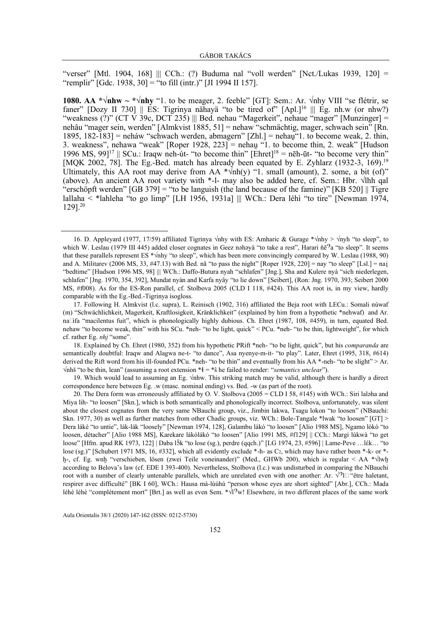"verser" [Mtl. 1904, 168] ||| CCh.: (?) Buduma nal "voll werden" [Nct./Lukas 1939, 120] = "remplir" [Gdc. 1938, 30] = "to fill (intr.)" [JI 1994 II 157].

**1080. AA \*** $\sqrt{\text{nhw}} \sim \sqrt{\text{nhy}}$  **"1.** to be meager, 2. feeble" [GT]: Sem.: Ar.  $\sqrt{\text{nhy}}$  VIII "se flétrir, se faner" [Dozy II 730]  $\parallel$  ES: Tigrinya nähayä "to be tired of" [Apl.]<sup>16</sup>  $\parallel$  Eg. nh.w (or nhw?) "weakness (?)" (CT V 39c, DCT 235) ||| Bed. nehau "Magerkeit", nehaue "mager" [Munzinger] = nehâu "mager sein, werden" [Almkvist 1885, 51] = nehaw "schmächtig, mager, schwach sein" [Rn. 1895, 182-183] = neháw "schwach werden, abmagern"  $[Zhl]$  = nehau"1. to become weak, 2. thin, 3. weakness", nehawa "weak" [Roper 1928, 223] = nehau "1. to become thin, 2. weak" [Hudson 1996 MS, 99]<sup>17</sup> || SCu.: Iraqw neh-út- "to become thin" [Ehret]<sup>18</sup> = nēh-ūt- "to become very thin" [MQK 2002, 78]. The Eg.-Bed. match has already been equated by E. Zyhlarz (1932-3, 169).<sup>19</sup> Ultimately, this AA root may derive from AA  $\sqrt{\frac{nh(y)}{1}}$  small (amount), 2. some, a bit (of)" (above). An ancient AA root variety with \*-l- may also be added here, cf. Sem.: Hbr. √lhh qal "erschöpft werden" [GB 379] = "to be languish (the land because of the famine)" [KB 520] || Tigre lallaha < \*lahleha "to go limp" [LH 1956, 1931a] ||| WCh.: Dera léhì "to tire" [Newman 1974, 129].<sup>20</sup>

19. Which would lead to assuming an Eg. √nhw. This striking match may be valid, although there is hardly a direct correspondence here between Eg. .w (masc. nominal ending) vs. Bed. -w (as part of the root).

<sup>16.</sup> D. Appleyard (1977, 17/59) affiliated Tigrinya √nhy with ES: Amharic & Gurage \*√nhy > √nyh "to sleep", to which W. Leslau (1979 III 445) added closer cognates in Geez nəhəyä "to take a rest", Harari ňē<sup>9</sup>a "to sleep". It seems that these parallels represent ES \* $\sqrt{nh}$  "to sleep", which has been more convincingly compared by W. Leslau (1988, 90) and A. Militarev (2006 MS, 33, #47.13) with Bed. nā "to pass the night" [Roper 1928, 220] = nay "to sleep" [Lsl.] = nai "bedtime" [Hudson 1996 MS, 98] ||| WCh.: Daffo-Butura nyah "schlafen" [Jng.], Sha and Kulere nyà "sich niederlegen, schlafen" [Jng. 1970, 354, 392], Mundat nyàn and Karfa nyây "to lie down" [Seibert], (Ron: Jng. 1970, 393; Seibert 2000 MS, #f008). As for the ES-Ron parallel, cf. Stolbova 2005 (CLD I 118, #424). This AA root is, in my view, hardly comparable with the Eg.-Bed.-Tigrinya isogloss.

<sup>17.</sup> Following H. Almkvist (l.c. supra), L. Reinisch (1902, 316) affiliated the Beja root with LECu.: Somali núwaf (m) "Schwächlichkeit, Magerkeit, Kraftlosigkeit, Kränklichkeit" (explained by him from a hypothetic \*nehwaf) and Ar. na-ifa "macilentus fuit", which is phonologically highly dubious. Ch. Ehret (1987, 108, #459), in turn, equated Bed. nehaw "to become weak, thin" with his SCu. \*neh- "to be light, quick" < PCu. \*neh- "to be thin, lightweight", for which cf. rather Eg. nhj "some".

<sup>18.</sup> Explained by Ch. Ehret (1980, 352) from his hypothetic PRift \*neh- "to be light, quick", but his *comparanda* are semantically doubtful: Iraqw and Alagwa ne-t- "to dance", Asa nyenye-m-it- "to play". Later, Ehret (1995, 318, #614) derived the Rift word from his ill-founded PCu. \*neh- "to be thin" and eventually from his AA \*-neh- "to be slight" > Ar. √nhš "to be thin, lean" (assuming a root extension \*V = \*ŝ he failed to render: "*semantics unclear*").

<sup>20.</sup> The Dera form was erroneously affiliated by O. V. Stolbova (2005 = CLD I 58, #145) with WCh.: Siri laləha and Miya lih- "to loosen" [Skn.], which is both semantically and phonologically incorrect. Stolbova, unfortunately, was silent about the closest cognates from the very same NBauchi group, viz., Jimbin lakwa, Tsagu lokon "to loosen" (NBauchi: Skn. 1977, 30) as well as further matches from other Chadic groups, viz. WCh.: Bole-Tangale \*lwak "to loosen" [GT] > Dera lákè "to untie", lák-lák "loosely" [Newman 1974, 128], Galambu làkó "to loosen" [Alio 1988 MS], Ngamo lòkò "to loosen, détacher" [Alio 1988 MS], Karekare lákólákó "to loosen" [Alio 1991 MS, #f129] || CCh.: Margi lùkwà "to get loose" [Hfm. apud RK 1973, 122] | Daba l $\bar{5}k$  "to lose (sg.), perdre (qqch.)" [LG 1974, 23, #596] | Lame-Peve …lέk… "to lose (sg.)" [Schubert 1971 MS, 16, #332], which all evidently exclude \*-h- as  $C_2$ , which may have rather been \*-k- or \*h-, cf. Eg. wnh "verschieben, lösen (zwei Teile voneinander)" (Med., GHWb 200), which is regular < AA \*√lwh according to Belova's law (cf. EDE I 393-400). Nevertheless, Stolbova (l.c.) was undisturbed in comparing the NBauchi root with a number of clearly untenable parallels, which are unrelated even with one another: Ar.  $\sqrt{2}$ - "être haletant, respirer avec difficulté" [BK I 60], WCh.: Hausa mà-lúúhù "person whose eyes are short sighted" [Abr.], CCh.: Mada léhè léhè "complètement mort" [Brt.] as well as even Sem. \* $\sqrt{2}$ W! Elsewhere, in two different places of the same work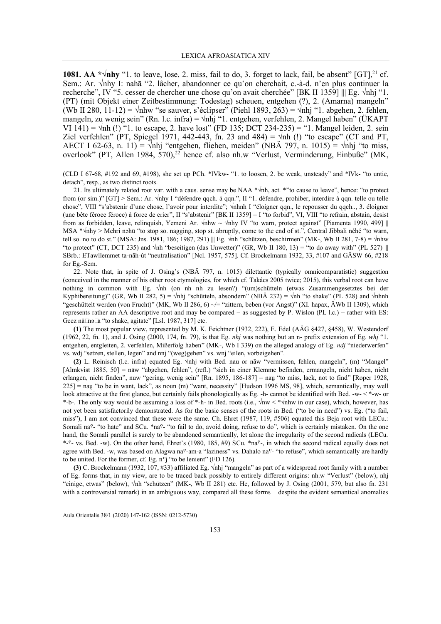**1081. AA \*√nhy** "1. to leave, lose, 2. miss, fail to do, 3. forget to lack, fail, be absent" [GT], <sup>21</sup> cf. Sem.: Ar. √nhy I: nahā "2. lâcher, abandonner ce qu'on cherchait, c.-à-d. n'en plus continuer la recherche", IV "5. cesser de chercher une chose qu'on avait cherchée" [BK II 1359] ||| Eg. √nhj "1. (PT) (mit Objekt einer Zeitbestimmung: Todestag) scheuen, entgehen (?), 2. (Amarna) mangeln" (Wb II 280, 11-12) =  $\sqrt{\text{nhw}}$  "se sauver, s'éclipser" (Piehl 1893, 263) =  $\sqrt{\text{nhi}}$  "1. abgehen, 2. fehlen, mangeln, zu wenig sein" (Rn. l.c. infra) =  $\sqrt{n}$ hj "1. entgehen, verfehlen, 2. Mangel haben" (ÜKAPT VI 141) =  $\sqrt{nh}$  (!) "1. to escape, 2. have lost" (FD 135; DCT 234-235) = "1. Mangel leiden, 2. sein Ziel verfehlen" (PT, Spiegel 1971, 442-443, fn. 23 and 484) =  $\sqrt{nh}$  (!) "to escape" (CT and PT, AECT I 62-63, n. 11) =  $\sqrt{nh}j$  "entgehen, fliehen, meiden" (NBÄ 797, n. 1015) =  $\sqrt{nh}j$  "to miss, overlook" (PT, Allen 1984, 570),<sup>22</sup> hence cf. also nh.w "Verlust, Verminderung, Einbuße" (MK,

(CLD I 67-68, #192 and 69, #198), she set up PCh. \*lVkw- "1. to loosen, 2. be weak, unsteady" and \*lVk- "to untie, detach", resp., as two distinct roots.

21. Its ultimately related root var. with a caus. sense may be NAA \*√nh, act. \*"to cause to leave", hence: "to protect from (or sim.)" [GT] > Sem.: Ar. √nhy I "défendre qqch. à qqn.", II "1. défendre, prohiber, interdire à qqn. telle ou telle chose", VIII "s'abstenir d'une chose, l'avoir pour interdite"; √nhnh I "éloigner qqn., le repousser du qqch.., 3. éloigner (une bête féroce féroce) à force de crier", II "s'abstenir" [BK II 1359] = I "to forbid", VI, VIII "to refrain, abstain, desist from as forbidden, leave, relinquish, Yemeni Ar. √nhw ~ √nhy IV "to warn, protect against" [Piamenta 1990, 499] || MSA \*√nhy > Mehri nəhū "to stop so. nagging, stop st. abruptly, come to the end of st.", Central Jibbali néhé "to warn, tell so. no to do st." (MSA: Jns. 1981, 186; 1987, 291) ||| Eg. √nh "schützen, beschirmen" (MK-, Wb II 281, 7-8) = √nhw "to protect" (CT, DCT 235) and  $\sqrt{nh}$  "beseitigen (das Unwetter)" (GR, Wb II 180, 13) = "to do away with" (PL 527) ||| SBrb.: ETawllemmet ta-năh-út "neutralisation" [Ncl. 1957, 575]. Cf. Brockelmann 1932, 33, #107 and GÄSW 66, #218 for Eg.-Sem.

22. Note that, in spite of J. Osing's (NBÄ 797, n. 1015) dilettantic (typically omnicomparatistic) suggestion (conceived in the manner of his other root etymologies, for which cf. Takács 2005 twice; 2015), this verbal root can have nothing in common with Eg. √nh (on nh nh zu lesen?) "(um)schütteln (etwas Zusammengesetztes bei der Kyphibereitung)" (GR, Wb II 282, 5) = √nhj "schütteln, absondern" (NBÄ 232) = √nh "to shake" (PL 528) and √nhnh "geschüttelt werden (von Frucht)" (MK, Wb II 286, 6) ~/= "zittern, beben (vor Angst)" (XI. hapax, ÄWb II 1309), which represents rather an AA descriptive root and may be compared − as suggested by P. Wislon (PL l.c.) − rather with ES: Geez nā-nə-a "to shake, agitate" [Lsl. 1987, 317] etc.

**(1)** The most popular view, represented by M. K. Feichtner (1932, 222), E. Edel (AÄG §427, §458), W. Westendorf (1962, 22, fn. 1), and J. Osing (2000, 174, fn. 79), is that Eg. *nhj* was nothing but an n- prefix extension of Eg. *whj* "1. entgehen, entgleiten, 2. verfehlen, Mißerfolg haben" (MK-, Wb I 339) on the alleged analogy of Eg. ndj "niederwerfen" vs. wdj "setzen, stellen, legen" and nnj "(weg)gehen" vs. wnj "eilen, vorbeigehen".

**(2)** L. Reinisch (l.c. infra) equated Eg. √nhj with Bed. nau or nāw "vermissen, fehlen, mangeln", (m) "Mangel" [Almkvist 1885, 50] = nāw "abgehen, fehlen", (refl.) "sich in einer Klemme befinden, ermangeln, nicht haben, nicht erlangen, nicht finden", nuw "gering, wenig sein" [Rn. 1895, 186-187] = nau "to miss, lack, not to find" [Roper 1928,  $225$ ] = nau "to be in want, lack", as noun (m) "want, necessity" [Hudson 1996 MS, 98], which, semantically, may well look attractive at the first glance, but certainly fails phonologically as Eg. -h- cannot be identified with Bed. -w- < \*-w- or \*-b-. The only way would be assuming a loss of \*-h- in Bed. roots (i.e., √nw < \*√nhw in our case), which, however, has not yet been satisfactorily demonstrated. As for the basic senses of the roots in Bed. ("to be in need") vs. Eg. ("to fail, miss"), I am not convinced that these were the same. Ch. Ehret (1987, 119, #506) equated this Beja root with LECu.: Somali na<sup>c</sup>- "to hate" and SCu. \*na<sup>c</sup>- "to fail to do, avoid doing, refuse to do", which is certainly mistaken. On the one hand, the Somali parallel is surely to be abandoned semantically, let alone the irregularity of the second radicals (LECu. \*- $C-$  vs. Bed. -w). On the other hand, Ehret's (1980, 185, #9) SCu. \*na $C-$ , in which the second radical equally does not agree with Bed. -w, was based on Alagwa na<sup>c</sup>-am-a "laziness" vs. Dahalo na<sup>c</sup>- "to refuse", which semantically are hardly to be united. For the former, cf. Eg.  $n^c i$  "to be lenient" (FD 126).

**(3)** C. Brockelmann (1932, 107, #33) affiliated Eg. √nhj "mangeln" as part of a widespread root family with a number of Eg. forms that, in my view, are to be traced back possibly to entirely different origins: nh.w "Verlust" (below), nhj "einige, etwas" (below), √nh "schützen" (MK-, Wb II 281) etc. He, followed by J. Osing (2001, 579, but also fn. 231 with a controversial remark) in an ambiguous way, compared all these forms − despite the evident semantical anomalies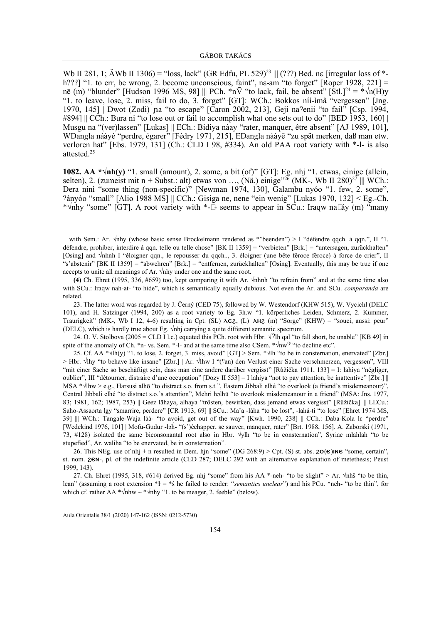Wb II 281, 1;  $\text{ÄWb}$  II 1306) = "loss, lack" (GR Edfu, PL 529)<sup>23</sup> ||| (???) Bed. ne [irregular loss of \*h???] "1. to err, be wrong, 2. become unconscious, faint", ne-am "to forget" [Roper 1928, 221] = nē (m) "blunder" [Hudson 1996 MS, 98] ||| PCh. \*n $\bar{V}$  "to lack, fail, be absent" [Stl.]<sup>24</sup> = \* $\sqrt{n(H)}y$ "1. to leave, lose, 2. miss, fail to do, 3. forget" [GT]: WCh.: Bokkos níí-ìmâ "vergessen" [Jng. 1970, 145] | Dwot (Zodi) na "to escape" [Caron 2002, 213], Geji na?enii "to fail" [Csp. 1994, #894] || CCh.: Bura ni "to lose out or fail to accomplish what one sets out to do" [BED 1953, 160] | Musgu na "(ver)lassen" [Lukas] || ECh.: Bidiya nàay "rater, manquer, être absent" [AJ 1989, 101], WDangla náàyè "perdre, égarer" [Fédry 1971, 215], EDangla nààyē "zu spät merken, daß man etw. verloren hat" [Ebs. 1979, 131] (Ch.: CLD I 98, #334). An old PAA root variety with \*-l- is also attested.<sup>25</sup>

**1082. AA \*√nh(y)** "1. small (amount), 2. some, a bit (of)" [GT]: Eg. nhj "1. etwas, einige (allein, selten), 2. (zumeist mit n + Subst.: alt) etwas von ..., (Nä.) einige<sup>326</sup> (MK-, Wb II 280)<sup>27</sup> ||| WCh.: Dera nínì "some thing (non-specific)" [Newman 1974, 130], Galambu nyóo "1. few, 2. some", "ányóo "small" [Alio 1988 MS] || CCh.: Gisiga ne, nene "ein wenig" [Lukas 1970, 132] < Eg.-Ch. \* $\sqrt{\frac{m}{m}}$  "some" [GT]. A root variety with \*--- seems to appear in SCu.: Iraqw na-áy (m) "many

− with Sem.: Ar. √nhy (whose basic sense Brockelmann rendered as \*"beenden") > I "défendre qqch. à qqn.", II "1. défendre, prohiber, interdire à qqn. telle ou telle chose" [BK II 1359] = "verbieten" [Brk.] = "untersagen, zurückhalten" [Osing] and √nhnh I "éloigner qqn., le repousser du qqch.., 3. éloigner (une bête féroce féroce) à force de crier", II "s'abstenir" [BK II 1359] = "abwehren" [Brk.] = "entfernen, zurückhalten" [Osing]. Eventually, this may be true if one accepts to unite all meanings of Ar. √nhy under one and the same root.

**(4)** Ch. Ehret (1995, 336, #659) too, kept comparing it with Ar. √nhnh "to refrain from" and at the same time also with SCu.: Iraqw nah-at- "to hide", which is semantically equally dubious. Not even the Ar. and SCu. *comparanda* are related.

23. The latter word was regarded by J. Černý (CED 75), followed by W. Westendorf (KHW 515), W. Vycichl (DELC 101), and H. Satzinger (1994, 200) as a root variety to Eg. 3h.w "1. körperliches Leiden, Schmerz, 2. Kummer, Traurigkeit" (MK-, Wb I 12, 4-6) resulting in Cpt. (SL)  $\lambda \in \mathbb{Z}$ , (L)  $\lambda H\mathbb{Z}$  (m) "Sorge" (KHW) = "souci, aussi: peur" (DELC), which is hardly true about Eg. √nhj carrying a quite different semantic spectrum.

24. O. V. Stolbova (2005 = CLD I l.c.) equated this PCh. root with Hbr.  $\sqrt{2}$ lh qal "to fall short, be unable" [KB 49] in spite of the anomaly of Ch. \*n- vs. Sem. \*-l- and at the same time also CSem. \* $\sqrt{nw}$  "to decline etc".

25. Cf. AA \* $\sqrt{\ln(y)}$  "1. to lose, 2. forget, 3. miss, avoid" [GT] > Sem. \* $\sqrt{\ln x}$  to be in consternation, enervated" [Zbr.] > Hbr. √lhy "to behave like insane" [Zbr.] | Ar. √lhw I "(°an) den Verlust einer Sache verschmerzen, vergessen", VIII "mit einer Sache so beschäftigt sein, dass man eine andere darüber vergisst" [Růžička 1911, 133] = I: lahiya "négliger, oublier", III "détourner, distraire d'une occupation" [Dozy II 553] = I lahiya "not to pay attention, be inattentive" [Zbr.] || MSA \*√lhw > e.g., Harsusi alhō "to distract s.o. from s.t.", Eastern Jibbali εlhé "to overlook (a friend's misdemeanour)", Central Jibbali elhé "to distract s.o.'s attention", Mehri həlhū "to overlook misdemeanour in a friend" (MSA: Jns. 1977, 83; 1981, 162; 1987, 253) || Geez lāhaya, alhaya "trösten, bewirken, dass jemand etwas vergisst" [Růžička] || LECu.: Saho-Assaorta lay "smarrire, perdere" [CR 1913, 69] || SCu.: Ma'a -láha "to be lost", -lahá-ti "to lose" [Ehret 1974 MS, 39] ||| WCh.: Tangale-Waja làà- "to avoid, get out of the way" [Kwh. 1990, 238] || CCh.: Daba-Kola lε "perdre" [Wedekind 1976, 101] | Mofu-Gudur -ləh́- "(s')échapper, se sauver, manquer, rater" [Brt. 1988, 156]. A. Zaborski (1971, 73, #128) isolated the same biconsonantal root also in Hbr. √ylh "to be in consternation", Syriac mlahlah "to be stupefied", Ar. waliha "to be enervated, be in consternation".

26. This NEg. use of nhj + n resulted in Dem. hin "some" (DG 268:9) > Cpt. (S) st. abs.  $2O(\epsilon)$  INE "some, certain", st. nom. **26N-**, pl. of the indefinite article (CED 287; DELC 292 with an alternative explanation of metethesis; Peust 1999, 143).

27. Ch. Ehret (1995, 318, #614) derived Eg. nhj "some" from his AA \*-neh- "to be slight" > Ar.  $\sqrt{n}$ hš "to be thin, lean" (assuming a root extension  $*1 = *s$  he failed to render: "*semantics unclear*") and his PCu. \*neh- "to be thin", for which cf. rather AA \* $\sqrt{\text{nhw}} \sim \sqrt{\text{nhy}}$  "1. to be meager, 2. feeble" (below).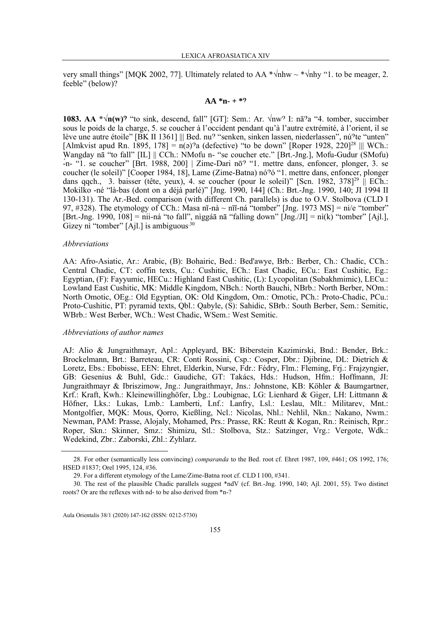very small things" [MQK 2002, 77]. Ultimately related to AA  $*\nu$ hhw ~  $*\nu$ hhy "1. to be meager, 2. feeble" (below)?

### $AA *n+ *2$

**1083. AA**  $*\sqrt{n}(w)$ **<sup>2</sup>** "to sink, descend, fall" [GT]: Sem.: Ar.  $\sqrt{nw}$ ? I: nā<sup>2</sup>a "4. tomber, succimber sous le poids de la charge, 5. se coucher à l'occident pendant qu'à l'autre extrémité, à l'orient, il se lève une autre étoile" [BK II 1361] ||| Bed. nu? "senken, sinken lassen, niederlassen", nú?te "unten" [Almkvist apud Rn. 1895, 178] =  $n(\text{a})^2$ a (defective) "to be down" [Roper 1928, 220]<sup>28</sup> ||| WCh.: Wangday nā "to fall" [IL] || CCh.: NMofu n- "se coucher etc." [Brt.-Jng.], Mofu-Gudur (SMofu) -́n- "1. se coucher" [Brt. 1988, 200] | Zime-Dari nō" "1. mettre dans, enfoncer, plonger, 3. se coucher (le soleil)" [Cooper 1984, 18], Lame (Zime-Batna) nó"ó "1. mettre dans, enfoncer, plonger dans qqch., 3. baisser (tête, yeux), 4. se coucher (pour le soleil)" [Scn. 1982,  $378$ ]<sup>29</sup> || ECh.: Mokilko -né "là-bas (dont on a déjà parlé)" [Jng. 1990, 144] (Ch.: Brt.-Jng. 1990, 140; JI 1994 II 130-131). The Ar.-Bed. comparison (with different Ch. parallels) is due to O.V. Stolbova (CLD I 97, #328). The etymology of CCh.: Masa nī-nà  $\sim$  nīī-ná "tomber" [Jng. 1973 MS] = ni/e "tomber" [Brt.-Jng. 1990, 108] = nii-ná "to fall", nìggáā nā "falling down"  $\overline{[Jng/JI]}$  = nì(k) "tomber" [Ajl.], Gizey nì "tomber"  $[Ail.]$  is ambiguous.<sup>30</sup>

#### *Abbreviations*

AA: Afro-Asiatic, Ar.: Arabic, (B): Bohairic, Bed.: Bed'awye, Brb.: Berber, Ch.: Chadic, CCh.: Central Chadic, CT: coffin texts, Cu.: Cushitic, ECh.: East Chadic, ECu.: East Cushitic, Eg.: Egyptian, (F): Fayyumic, HECu.: Highland East Cushitic, (L): Lycopolitan (Subakhmimic), LECu.: Lowland East Cushitic, MK: Middle Kingdom, NBch.: North Bauchi, NBrb.: North Berber, NOm.: North Omotic, OEg.: Old Egyptian, OK: Old Kingdom, Om.: Omotic, PCh.: Proto-Chadic, PCu.: Proto-Cushitic, PT: pyramid texts, Qbl.: Qabyle, (S): Sahidic, SBrb.: South Berber, Sem.: Semitic, WBrb.: West Berber, WCh.: West Chadic, WSem.: West Semitic.

#### *Abbreviations of author names*

AJ: Alio & Jungraithmayr, Apl.: Appleyard, BK: Biberstein Kazimirski, Bnd.: Bender, Brk.: Brockelmann, Brt.: Barreteau, CR: Conti Rossini, Csp.: Cosper, Dbr.: Djibrine, DL: Dietrich & Loretz, Ebs.: Ebobisse, EEN: Ehret, Elderkin, Nurse, Fdr.: Fédry, Flm.: Fleming, Frj.: Frajzyngier, GB: Gesenius & Buhl, Gdc.: Gaudiche, GT: Takács, Hds.: Hudson, Hfm.: Hoffmann, JI: Jungraithmayr & Ibriszimow, Jng.: Jungraithmayr, Jns.: Johnstone, KB: Köhler & Baumgartner, Krf.: Kraft, Kwh.: Kleinewillinghöfer, Lbg.: Loubignac, LG: Lienhard & Giger, LH: Littmann & Höfner, Lks.: Lukas, Lmb.: Lamberti, Lnf.: Lanfry, Lsl.: Leslau, Mlt.: Militarev, Mnt.: Montgolfier, MQK: Mous, Qorro, Kießling, Ncl.: Nicolas, Nhl.: Nehlil, Nkn.: Nakano, Nwm.: Newman, PAM: Prasse, Alojaly, Mohamed, Prs.: Prasse, RK: Reutt & Kogan, Rn.: Reinisch, Rpr.: Roper, Skn.: Skinner, Smz.: Shimizu, Stl.: Stolbova, Stz.: Satzinger, Vrg.: Vergote, Wdk.: Wedekind, Zbr.: Zaborski, Zhl.: Zyhlarz.

<sup>28.</sup> For other (semantically less convincing) *comparanda* to the Bed. root cf. Ehret 1987, 109, #461; OS 1992, 176; HSED #1837; Orel 1995, 124, #36.

<sup>29.</sup> For a different etymology of the Lame/Zime-Batna root cf. CLD I 100, #341.

<sup>30.</sup> The rest of the plausible Chadic parallels suggest \*ndV (cf. Brt.-Jng. 1990, 140; Ajl. 2001, 55). Two distinct roots? Or are the reflexes with nd- to be also derived from \*n-?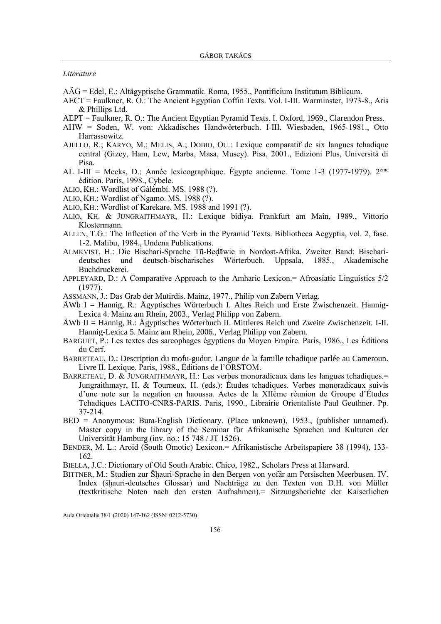*Literature*

- AÄG = Edel, E.: Altägyptische Grammatik. Roma, 1955., Pontificium Institutum Biblicum.
- AECT = Faulkner, R. O.: The Ancient Egyptian Coffin Texts. Vol. I-III. Warminster, 1973-8., Aris & Phillips Ltd.
- AEPT = Faulkner, R. O.: The Ancient Egyptian Pyramid Texts. I. Oxford, 1969., Clarendon Press.
- AHW = Soden, W. von: Akkadisches Handwörterbuch. I-III. Wiesbaden, 1965-1981., Otto Harrassowitz.
- AJELLO, R.; KARYO, M.; MELIS, A.; DOBIO, OU.: Lexique comparatif de six langues tchadique central (Gizey, Ham, Lew, Marba, Masa, Musey). Pisa, 2001., Edizioni Plus, Università di Pisa.
- AL I-III = Meeks, D.: Année lexicographique. Égypte ancienne. Tome 1-3 (1977-1979). 2ème édition. Paris, 1998., Cybele.
- ALIO, KH.: Wordlist of Gàlèmbí. MS. 1988 (?).
- ALIO, KH.: Wordlist of Ngamo. MS. 1988 (?).
- ALIO, KH.: Wordlist of Karekare. MS. 1988 and 1991 (?).
- ALIO, KH. & JUNGRAITHMAYR, H.: Lexique bidiya. Frankfurt am Main, 1989., Vittorio Klostermann.
- ALLEN, T.G.: The Inflection of the Verb in the Pyramid Texts. Bibliotheca Aegyptia, vol. 2, fasc. 1-2. Malibu, 1984., Undena Publications.
- ALMKVIST, H.: Die Bischari-Sprache Tū-Bedāwie in Nordost-Afrika. Zweiter Band: Bischarideutsches und deutsch-bischarisches Wörterbuch. Uppsala, 1885., Akademische Buchdruckerei.
- APPLEYARD, D.: A Comparative Approach to the Amharic Lexicon.= Afroasiatic Linguistics 5/2 (1977).
- A[SSMANN](https://en.wikipedia.org/wiki/Jan_Assmann), J.: Das Grab der Mutirdis. Mainz, 1977., Philip von Zabern Verlag.
- ÄWb I = Hannig, R.: Ägyptisches Wörterbuch I. Altes Reich und Erste Zwischenzeit. Hannig-Lexica 4. Mainz am Rhein, 2003., Verlag Philipp von Zabern.
- ÄWb II = Hannig, R.: Ägyptisches Wörterbuch II. Mittleres Reich und Zweite Zwischenzeit. I-II. Hannig-Lexica 5. Mainz am Rhein, 2006., Verlag Philipp von Zabern.
- BARGUET, P.: Les textes des sarcophages égyptiens du Moyen Empire. Paris, 1986., Les Éditions du Cerf.
- BARRETEAU, D.: Description du mofu-gudur. Langue de la famille tchadique parlée au Cameroun. Livre II. Lexique. Paris, 1988., Éditions de l'ORSTOM.
- BARRETEAU, D. & JUNGRAITHMAYR, H.: Les verbes monoradicaux dans les langues tchadiques.= Jungraithmayr, H. & Tourneux, H. (eds.): Études tchadiques. Verbes monoradicaux suivis d'une note sur la negation en haoussa. Actes de la XIIème réunion de Groupe d'Études Tchadiques LACITO-CNRS-PARIS. Paris, 1990., Librairie Orientaliste Paul Geuthner. Pp. 37-214.
- BED = Anonymous: Bura-English Dictionary. (Place unknown), 1953., (publisher unnamed). Master copy in the library of the Seminar für Afrikanische Sprachen und Kulturen der Universität Hamburg (inv. no.: 15 748 / JT 1526).
- BENDER, M. L.: Aroid (South Omotic) Lexicon.= Afrikanistische Arbeitspapiere 38 (1994), 133- 162.
- BIELLA, J.C.: Dictionary of Old South Arabic. Chico, 1982., Scholars Press at Harward.
- BITTNER, M.: Studien zur Šhauri-Sprache in den Bergen von yofâr am Persischen Meerbusen. IV. Index (šhauri-deutsches Glossar) und Nachträge zu den Texten von D.H. von Müller (textkritische Noten nach den ersten Aufnahmen).= Sitzungsberichte der Kaiserlichen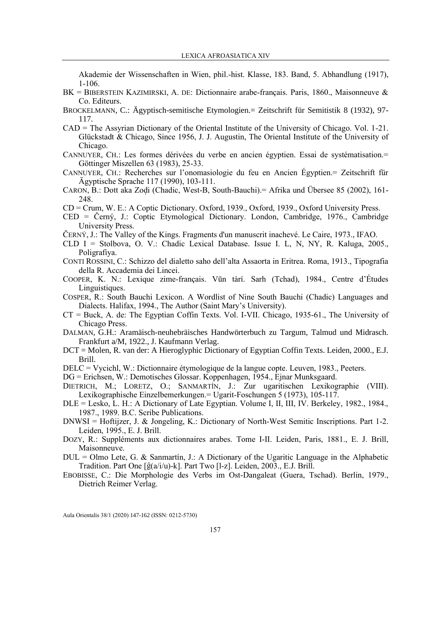Akademie der Wissenschaften in Wien, phil.-hist. Klasse, 183. Band, 5. Abhandlung (1917), 1-106.

- BK = BIBERSTEIN KAZIMIRSKI, A. DE: Dictionnaire arabe-français. Paris, 1860., Maisonneuve & Co. Editeurs.
- BROCKELMANN, C.: Ägyptisch-semitische Etymologien.= Zeitschrift für Semitistik 8 (1932), 97- 117.
- CAD = The Assyrian Dictionary of the Oriental Institute of the University of Chicago. Vol. 1-21. Glückstadt & Chicago, Since 1956, J. J. Augustin, The Oriental Institute of the University of Chicago.
- CANNUYER, CH.: Les formes dérivées du verbe en ancien égyptien. Essai de systématisation.= Göttinger Miszellen 63 (1983), 25-33.
- CANNUYER, CH.: Recherches sur l'onomasiologie du feu en Ancien Égyptien.= Zeitschrift für Ägyptische Sprache 117 (1990), 103-111.
- CARON, B.: Dott aka Zodi (Chadic, West-B, South-Bauchi). = Afrika und Übersee 85 (2002), 161-248.
- CD = Crum, W. E.: A Coptic Dictionary. Oxford, 1939., Oxford, 1939., Oxford University Press.
- CED = Černý, J.: Coptic Etymological Dictionary. London, Cambridge, 1976., Cambridge University Press.
- ČERNÝ, J.: The Valley of the Kings. Fragments d'un manuscrit inachevé. Le Caire, 1973., IFAO.
- CLD I = Stolbova, O. V.: Chadic Lexical Database. Issue I. L, N, NY, R. Kaluga, 2005., Poligrafiya.
- CONTI ROSSINI, C.: Schizzo del dialetto saho dell'alta Assaorta in Eritrea. Roma, 1913., Tipografia della R. Accademia dei Lincei.
- COOPER, K. N.: Lexique zime-français. Vūn tàrí. Sarh (Tchad), 1984., Centre d'Études Linguistiques.
- COSPER, R.: South Bauchi Lexicon. A Wordlist of Nine South Bauchi (Chadic) Languages and Dialects. Halifax, 1994., The Author (Saint Mary's University).
- CT = Buck, A. de: The Egyptian Coffin Texts. Vol. I-VII. Chicago, 1935-61., The University of Chicago Press.
- DALMAN, G.H.: Aramäisch-neuhebräisches Handwörterbuch zu Targum, Talmud und Midrasch. Frankfurt a/M, 1922., J. Kaufmann Verlag.
- DCT = Molen, R. van der: A Hieroglyphic Dictionary of Egyptian Coffin Texts. Leiden, 2000., E.J. Brill.
- DELC = Vycichl, W.: Dictionnaire étymologique de la langue copte. Leuven, 1983., Peeters.
- DG = Erichsen, W.: Demotisches Glossar. Koppenhagen, 1954., Ejnar Munksgaard.
- DIETRICH, M.; LORETZ, O.; SANMARTÍN, J.: Zur ugaritischen Lexikographie (VIII). Lexikographische Einzelbemerkungen.= Ugarit-Foschungen 5 (1973), 105-117.
- DLE = Lesko, L. H.: A Dictionary of Late Egyptian. Volume I, II, III, IV. Berkeley, 1982., 1984., 1987., 1989. B.C. Scribe Publications.
- DNWSI = Hoftijzer, J. & Jongeling, K.: Dictionary of North-West Semitic Inscriptions. Part 1-2. Leiden, 1995., E. J. Brill.
- DOZY, R.: Suppléments aux dictionnaires arabes. Tome I-II. Leiden, Paris, 1881., E. J. Brill, Maisonneuve.
- $DUL = Olmo$  Lete, G. & Sanmartín, J.: A Dictionary of the Ugaritic Language in the Alphabetic Tradition. Part One  $\lceil \hat{g}(a/i/u) - k \rceil$ . Part Two  $\lceil l-z \rceil$ . Leiden, 2003., E.J. Brill.
- EBOBISSE, C.: Die Morphologie des Verbs im Ost-Dangaleat (Guera, Tschad). Berlin, 1979., Dietrich Reimer Verlag.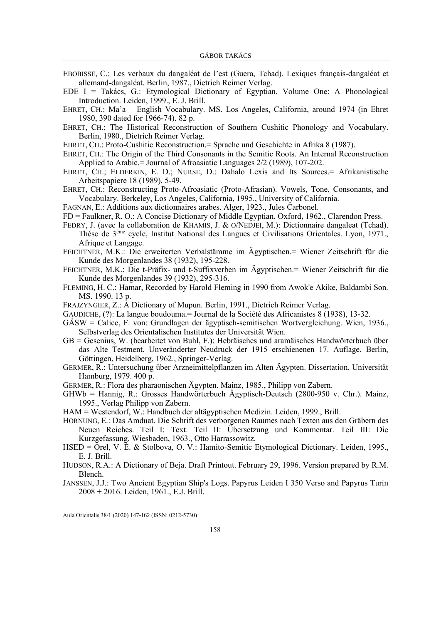- EBOBISSE, C.: Les verbaux du dangaléat de l'est (Guera, Tchad). Lexiques français-dangaléat et allemand-dangaléat. Berlin, 1987., Dietrich Reimer Verlag.
- EDE I = Takács, G.: Etymological Dictionary of Egyptian. Volume One: A Phonological Introduction. Leiden, 1999., E. J. Brill.
- EHRET, CH.: Ma'a English Vocabulary. MS. Los Angeles, California, around 1974 (in Ehret 1980, 390 dated for 1966-74). 82 p.
- EHRET, CH.: The Historical Reconstruction of Southern Cushitic Phonology and Vocabulary. Berlin, 1980., Dietrich Reimer Verlag.
- EHRET, CH.: Proto-Cushitic Reconstruction.= Sprache und Geschichte in Afrika 8 (1987).
- EHRET, CH.: The Origin of the Third Consonants in the Semitic Roots. An Internal Reconstruction Applied to Arabic.= Journal of Afroasiatic Languages 2/2 (1989), 107-202.
- EHRET, CH.; ELDERKIN, E. D.; NURSE, D.: Dahalo Lexis and Its Sources.= Afrikanistische Arbeitspapiere 18 (1989), 5-49.
- EHRET, CH.: Reconstructing Proto-Afroasiatic (Proto-Afrasian). Vowels, Tone, Consonants, and Vocabulary. Berkeley, Los Angeles, California, 1995., University of California.
- FAGNAN, E.: Additions aux dictionnaires arabes. Alger, 1923., Jules Carbonel.
- FD = Faulkner, R. O.: A Concise Dictionary of Middle Egyptian. Oxford, 1962., Clarendon Press.
- FEDRY, J. (avec la collaboration de KHAMIS, J. & O/NEDJEI, M.): Dictionnaire dangaleat (Tchad). Thése de 3 ème cycle, Institut National des Langues et Civilisations Orientales. Lyon, 1971., Afrique et Langage.
- FEICHTNER, M.K.: Die erweiterten Verbalstämme im Ägyptischen.= Wiener Zeitschrift für die Kunde des Morgenlandes 38 (1932), 195-228.
- FEICHTNER, M.K.: Die t-Präfix- und t-Suffixverben im Ägyptischen.= Wiener Zeitschrift für die Kunde des Morgenlandes 39 (1932), 295-316.
- FLEMING, H. C.: Hamar, Recorded by Harold Fleming in 1990 from Awok'e Akike, Baldambi Son. MS. 1990. 13 p.
- FRAJZYNGIER, Z.: A Dictionary of Mupun. Berlin, 1991., Dietrich Reimer Verlag.
- GAUDICHE, (?): La langue boudouma.= Journal de la Société des Africanistes 8 (1938), 13-32.
- GÄSW = Calice, F. von: Grundlagen der ägyptisch-semitischen Wortvergleichung. Wien, 1936., Selbstverlag des Orientalischen Institutes der Universität Wien.
- GB = Gesenius, W. (bearbeitet von Buhl, F.): Hebräisches und aramäisches Handwörterbuch über das Alte Testment. Unveränderter Neudruck der 1915 erschienenen 17. Auflage. Berlin, Göttingen, Heidelberg, 1962., Springer-Verlag.
- GERMER, R.: Untersuchung über Arzneimittelpflanzen im Alten Ägypten. Dissertation. Universität Hamburg, 1979. 400 p.
- GERMER, R.: Flora des pharaonischen Ägypten. Mainz, 1985., Philipp von Zabern.
- GHWb = Hannig, R.: Grosses Handwörterbuch Ägyptisch-Deutsch (2800-950 v. Chr.). Mainz, 1995., Verlag Philipp von Zabern.
- HAM = Westendorf, W.: Handbuch der altägyptischen Medizin. Leiden, 1999., Brill.
- HORNUNG, E.: Das Amduat. Die Schrift des verborgenen Raumes nach Texten aus den Gräbern des Neuen Reiches. Teil I: Text. Teil II: Übersetzung und Kommentar. Teil III: Die Kurzgefassung. Wiesbaden, 1963., Otto Harrassowitz.
- HSED = Orel, V. É. & Stolbova, O. V.: Hamito-Semitic Etymological Dictionary. Leiden, 1995., E. J. Brill.
- HUDSON, R.A.: A Dictionary of Beja. Draft Printout. February 29, 1996. Version prepared by R.M. Blench.
- JANSSEN, J.J.: Two Ancient Egyptian Ship's Logs. Papyrus Leiden I 350 Verso and Papyrus Turin 2008 + 2016. Leiden, 1961., E.J. Brill.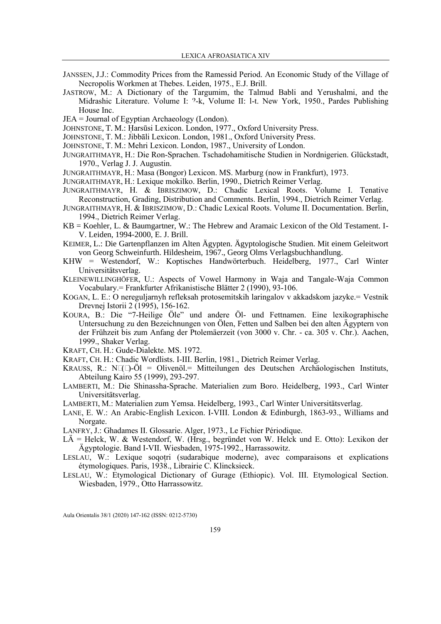- JANSSEN, J.J.: Commodity Prices from the Ramessid Period. An Economic Study of the Village of Necropolis Workmen at Thebes. Leiden, 1975., E.J. Brill.
- JASTROW, M.: A Dictionary of the Targumim, the Talmud Babli and Yerushalmi, and the Midrashic Literature. Volume I:  $2-k$ , Volume II: 1-t. New York, 1950., Pardes Publishing House Inc.
- JEA = Journal of Egyptian Archaeology (London).
- JOHNSTONE, T. M.: Harsūsi Lexicon. London, 1977., Oxford University Press.
- JOHNSTONE, T. M.: Jibbāli Lexicon. London, 1981., Oxford University Press.
- JOHNSTONE, T. M.: Mehri Lexicon. London, 1987., University of London.
- JUNGRAITHMAYR, H.: Die Ron-Sprachen. Tschadohamitische Studien in Nordnigerien. Glückstadt, 1970., Verlag J. J. Augustin.
- JUNGRAITHMAYR, H.: Masa (Bongor) Lexicon. MS. Marburg (now in Frankfurt), 1973.
- JUNGRAITHMAYR, H.: Lexique mokilko. Berlin, 1990., Dietrich Reimer Verlag.
- JUNGRAITHMAYR, H. & IBRISZIMOW, D.: Chadic Lexical Roots. Volume I. Tenative Reconstruction, Grading, Distribution and Comments. Berlin, 1994., Dietrich Reimer Verlag.
- JUNGRAITHMAYR, H. & IBRISZIMOW, D.: Chadic Lexical Roots. Volume II. Documentation. Berlin, 1994., Dietrich Reimer Verlag.
- KB = Koehler, L. & Baumgartner, W.: The Hebrew and Aramaic Lexicon of the Old Testament. I-V. Leiden, 1994-2000, E. J. Brill.
- KEIMER, L.: Die Gartenpflanzen im Alten Ägypten. Ägyptologische Studien. Mit einem Geleitwort von Georg Schweinfurth. Hildesheim, 1967., Georg Olms Verlagsbuchhandlung.
- KHW = Westendorf, W.: Koptisches Handwörterbuch. Heidelberg, 1977., Carl Winter Universitätsverlag.
- KLEINEWILLINGHÖFER, U.: Aspects of Vowel Harmony in Waja and Tangale-Waja Common Vocabulary.= Frankfurter Afrikanistische Blätter 2 (1990), 93-106.
- KOGAN, L. E.: O nereguljarnyh refleksah protosemitskih laringalov v akkadskom jazyke.= Vestnik Drevnej Istorii 2 (1995), 156-162.
- KOURA, B.: Die "7-Heilige Öle" und andere Öl- und Fettnamen. Eine lexikographische Untersuchung zu den Bezeichnungen von Ölen, Fetten und Salben bei den alten Ägyptern von der Frühzeit bis zum Anfang der Ptolemäerzeit (von 3000 v. Chr. - ca. 305 v. Chr.). Aachen, 1999., Shaker Verlag.
- KRAFT, CH. H.: Gude-Dialekte. MS. 1972.
- KRAFT, CH. H.: Chadic Wordlists. I-III. Berlin, 1981., Dietrich Reimer Verlag.
- KRAUSS, R.: N-(-)-Öl = Olivenöl.= Mitteilungen des Deutschen Archäologischen Instituts, Abteilung Kairo 55 (1999), 293-297.
- LAMBERTI, M.: Die Shinassha-Sprache. Materialien zum Boro. Heidelberg, 1993., Carl Winter Universitätsverlag.
- LAMBERTI, M.: Materialien zum Yemsa. Heidelberg, 1993., Carl Winter Universitätsverlag.
- LANE, E. W.: An Arabic-English Lexicon. I-VIII. London & Edinburgh, 1863-93., Williams and Norgate.
- LANFRY, J.: Ghadames II. Glossarie. Alger, 1973., Le Fichier Périodique.
- LÄ = Helck, W. & Westendorf, W. (Hrsg., begründet von W. Helck und E. Otto): Lexikon der Ägyptologie. Band I-VII. Wiesbaden, 1975-1992., Harrassowitz.
- LESLAU, W.: Lexique soqotri (sudarabique moderne), avec comparaisons et explications étymologiques. Paris, 1938., Librairie C. Klincksieck.
- LESLAU, W.: Etymological Dictionary of Gurage (Ethiopic). Vol. III. Etymological Section. Wiesbaden, 1979., Otto Harrassowitz.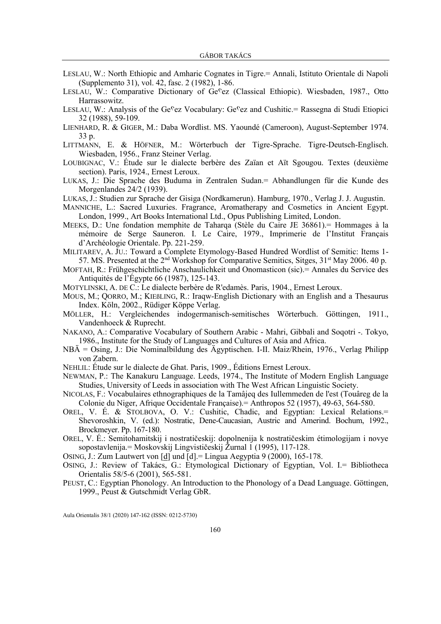- LESLAU, W.: North Ethiopic and Amharic Cognates in Tigre.= Annali, Istituto Orientale di Napoli (Supplemento 31), vol. 42, fasc. 2 (1982), 1-86.
- LESLAU, W.: Comparative Dictionary of Ge<sup>c</sup>ez (Classical Ethiopic). Wiesbaden, 1987., Otto Harrassowitz.
- LESLAU, W.: Analysis of the Ge<sup>c</sup>ez Vocabulary: Ge<sup>c</sup>ez and Cushitic.= Rassegna di Studi Etiopici 32 (1988), 59-109.
- LIENHARD, R. & GIGER, M.: Daba Wordlist. MS. Yaoundé (Cameroon), August-September 1974. 33 p.
- LITTMANN, E. & HÖFNER, M.: Wörterbuch der Tigre-Sprache. Tigre-Deutsch-Englisch. Wiesbaden, 1956., Franz Steiner Verlag.
- LOUBIGNAC, V.: Étude sur le dialecte berbère des Zaïan et Aït Sgougou. Textes (deuxième section). Paris, 1924., Ernest Leroux.
- LUKAS, J.: Die Sprache des Buduma in Zentralen Sudan.= Abhandlungen für die Kunde des Morgenlandes 24/2 (1939).
- LUKAS, J.: Studien zur Sprache der Gisiga (Nordkamerun). Hamburg, 1970., Verlag J. J. Augustin.
- MANNICHE, L.: Sacred Luxuries. Fragrance, Aromatherapy and Cosmetics in Ancient Egypt. London, 1999., Art Books International Ltd., Opus Publishing Limited, London.
- MEEKS, D.: Une fondation memphite de Taharqa (Stèle du Caire JE 36861).= Hommages à la mémoire de Serge Sauneron. I. Le Caire, 1979., Imprimerie de l'Institut Français d'Archéologie Orientale. Pp. 221-259.
- MILITAREV, A. JU.: Toward a Complete Etymology-Based Hundred Wordlist of Semitic: Items 1- 57. MS. Presented at the  $2<sup>nd</sup>$  Workshop for Comparative Semitics, Sitges,  $31<sup>st</sup>$  May 2006. 40 p.
- MOFTAH, R.: Frühgeschichtliche Anschaulichkeit und Onomasticon (sic).= Annales du Service des Antiquités de l'Égypte 66 (1987), 125-143.
- MOTYLINSKI, A. DE C.: Le dialecte berbère de R'edamès. Paris, 1904., Ernest Leroux.
- MOUS, M.; QORRO, M.; KIEßLING, R.: Iraqw-English Dictionary with an English and a Thesaurus Index. Köln, 2002., Rüdiger Köppe Verlag.
- MÖLLER, H.: Vergleichendes indogermanisch-semitisches Wörterbuch. Göttingen, 1911., Vandenhoeck & Ruprecht.
- NAKANO, A.: Comparative Vocabulary of Southern Arabic Mahri, Gibbali and Soqotri -. Tokyo, 1986., Institute for the Study of Languages and Cultures of Asia and Africa.
- NBÄ = Osing, J.: Die Nominalbildung des Ägyptischen. I-II. Maiz/Rhein, 1976., Verlag Philipp von Zabern.
- NEHLIL: Étude sur le dialecte de Ghat. Paris, 1909., Éditions Ernest Leroux.
- NEWMAN, P.: The Kanakuru Language. Leeds, 1974., The Institute of Modern English Language Studies, University of Leeds in association with The West African Linguistic Society.
- NICOLAS, F.: Vocabulaires ethnographiques de la Tamâjeq des Iullemmeden de l'est (Touâreg de la Colonie du Niger, Afrique Occidentale Française).= Anthropos 52 (1957), 49-63, 564-580.
- OREL, V. É. & STOLBOVA, O. V.: Cushitic, Chadic, and Egyptian: Lexical Relations.= Shevoroshkin, V. (ed.): Nostratic, Dene-Caucasian, Austric and Amerind. Bochum, 1992., Brockmeyer. Pp. 167-180.
- OREL, V. É.: Semitohamitskij i nostratičeskij: dopolnenija k nostratičeskim étimologijam i novye sopostavlenija.= Moskovskij Lingvističeskij Žurnal 1 (1995), 117-128.
- OSING, J.: Zum Lautwert von [d] und [d].= Lingua Aegyptia 9 (2000), 165-178.
- OSING, J.: Review of Takács, G.: Etymological Dictionary of Egyptian, Vol. I.= Bibliotheca Orientalis 58/5-6 (2001), 565-581.
- PEUST, C.: Egyptian Phonology. An Introduction to the Phonology of a Dead Language. Göttingen, 1999., Peust & Gutschmidt Verlag GbR.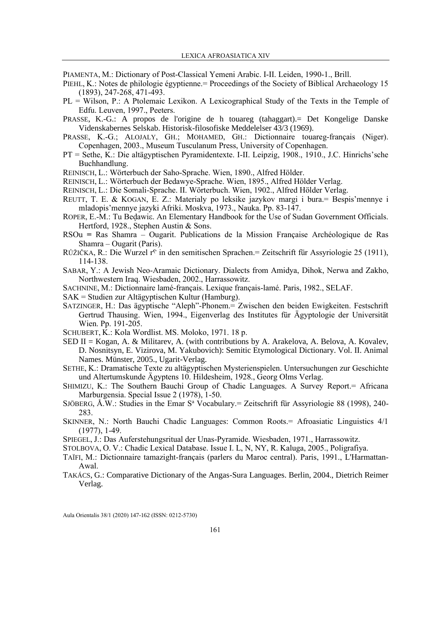PIAMENTA, M.: Dictionary of Post-Classical Yemeni Arabic. I-II. Leiden, 1990-1., Brill.

- PIEHL, K.: Notes de philologie égyptienne. Proceedings of the Society of Biblical Archaeology 15 (1893), 247-268, 471-493.
- PL = Wilson, P.: A Ptolemaic Lexikon. A Lexicographical Study of the Texts in the Temple of Edfu. Leuven, 1997., Peeters.
- PRASSE, K.-G.: A propos de l'origine de h touareg (tahaggart).= Det Kongelige Danske Videnskabernes Selskab. Historisk-filosofiske Meddelelser 43/3 (1969).
- PRASSE, K.-G.; ALOJALY, GH.; MOHAMED, GH.: Dictionnaire touareg-français (Niger). Copenhagen, 2003., Museum Tusculanum Press, University of Copenhagen.
- PT = Sethe, K.: Die altägyptischen Pyramidentexte. I-II. Leipzig, 1908., 1910., J.C. Hinrichs'sche Buchhandlung.
- REINISCH, L.: Wörterbuch der Saho-Sprache. Wien, 1890., Alfred Hölder.
- REINISCH, L.: Wörterbuch der Bedawye-Sprache. Wien, 1895., Alfred Hölder Verlag.
- REINISCH, L.: Die Somali-Sprache. II. Wörterbuch. Wien, 1902., Alfred Hölder Verlag.
- REUTT, T. E. & KOGAN, E. Z.: Materialy po leksike jazykov margi i bura.= Bespis'mennye i mladopis'mennye jazyki Afriki. Moskva, 1973., Nauka. Pp. 83-147.
- ROPER, E.-M.: Tu Bedawie. An Elementary Handbook for the Use of Sudan Government Officials. Hertford, 1928., Stephen Austin & Sons.
- RSOu **=** Ras Shamra Ougarit. Publications de la Mission Française Archéologique de Ras Shamra – Ougarit (Paris).
- RŮŽIČKA, R.: Die Wurzel r<sup>o</sup> in den semitischen Sprachen.= Zeitschrift für Assyriologie 25 (1911), 114-138.
- SABAR, Y.: A Jewish Neo-Aramaic Dictionary. Dialects from Amidya, Dihok, Nerwa and Zakho, Northwestern Iraq. Wiesbaden, 2002., Harrassowitz.
- SACHNINE, M.: Dictionnaire lamé-français. Lexique français-lamé. Paris, 1982., SELAF.
- SAK = Studien zur Altägyptischen Kultur (Hamburg).
- SATZINGER, H.: Das ägyptische "Aleph"-Phonem.= Zwischen den beiden Ewigkeiten. Festschrift Gertrud Thausing. Wien, 1994., Eigenverlag des Institutes für Ägyptologie der Universität Wien. Pp. 191-205.
- SCHUBERT, K.: Kola Wordlist. MS. Moloko, 1971. 18 p.
- SED II = Kogan, A. & Militarev, A. (with contributions by A. Arakelova, A. Belova, A. Kovalev, D. Nosnitsyn, E. Vizirova, M. Yakubovich): Semitic Etymological Dictionary. Vol. II. Animal Names. Münster, 2005., Ugarit-Verlag.
- SETHE, K.: Dramatische Texte zu altägyptischen Mysterienspielen. Untersuchungen zur Geschichte und Altertumskunde Ägyptens 10. Hildesheim, 1928., Georg Olms Verlag.
- SHIMIZU, K.: The Southern Bauchi Group of Chadic Languages. A Survey Report.= Africana Marburgensia. Special Issue 2 (1978), 1-50.
- SJÖBERG,  $\AA$ .W.: Studies in the Emar S<sup>a</sup> Vocabulary. = Zeitschrift für Assyriologie 88 (1998), 240-283.
- SKINNER, N.: North Bauchi Chadic Languages: Common Roots.= Afroasiatic Linguistics 4/1 (1977), 1-49.
- SPIEGEL, J.: Das Auferstehungsritual der Unas-Pyramide. Wiesbaden, 1971., Harrassowitz.
- STOLBOVA, O. V.: Chadic Lexical Database. Issue I. L, N, NY, R. Kaluga, 2005., Poligrafiya.
- TAÏFI, M.: Dictionnaire tamazight-français (parlers du Maroc central). Paris, 1991., L'Harmattan-Awal.
- TAKÁCS, G.: Comparative Dictionary of the Angas-Sura Languages. Berlin, 2004., Dietrich Reimer Verlag.